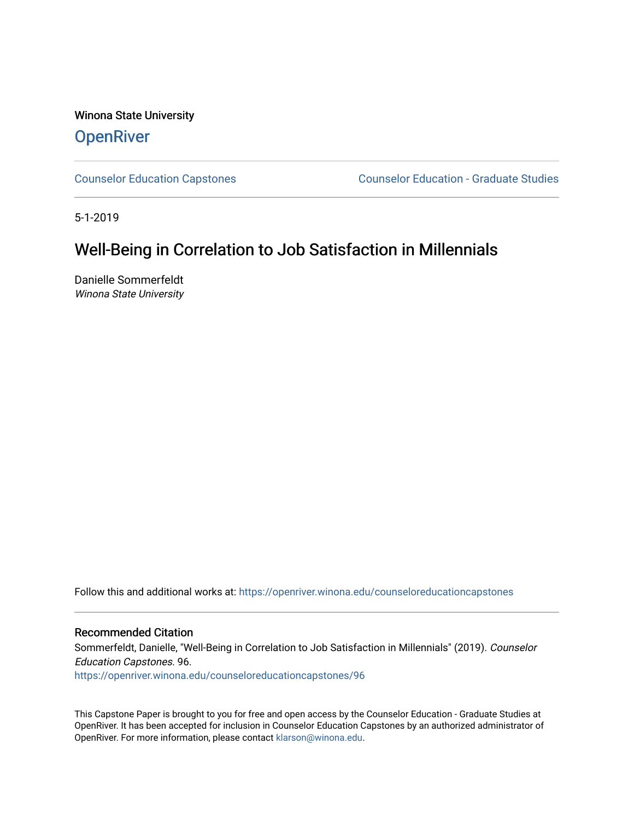Winona State University **OpenRiver** 

[Counselor Education Capstones](https://openriver.winona.edu/counseloreducationcapstones) [Counselor Education - Graduate Studies](https://openriver.winona.edu/counseloreducation) 

5-1-2019

# Well-Being in Correlation to Job Satisfaction in Millennials

Danielle Sommerfeldt Winona State University

Follow this and additional works at: [https://openriver.winona.edu/counseloreducationcapstones](https://openriver.winona.edu/counseloreducationcapstones?utm_source=openriver.winona.edu%2Fcounseloreducationcapstones%2F96&utm_medium=PDF&utm_campaign=PDFCoverPages)

#### Recommended Citation

Sommerfeldt, Danielle, "Well-Being in Correlation to Job Satisfaction in Millennials" (2019). Counselor Education Capstones. 96.

[https://openriver.winona.edu/counseloreducationcapstones/96](https://openriver.winona.edu/counseloreducationcapstones/96?utm_source=openriver.winona.edu%2Fcounseloreducationcapstones%2F96&utm_medium=PDF&utm_campaign=PDFCoverPages) 

This Capstone Paper is brought to you for free and open access by the Counselor Education - Graduate Studies at OpenRiver. It has been accepted for inclusion in Counselor Education Capstones by an authorized administrator of OpenRiver. For more information, please contact [klarson@winona.edu](mailto:klarson@winona.edu).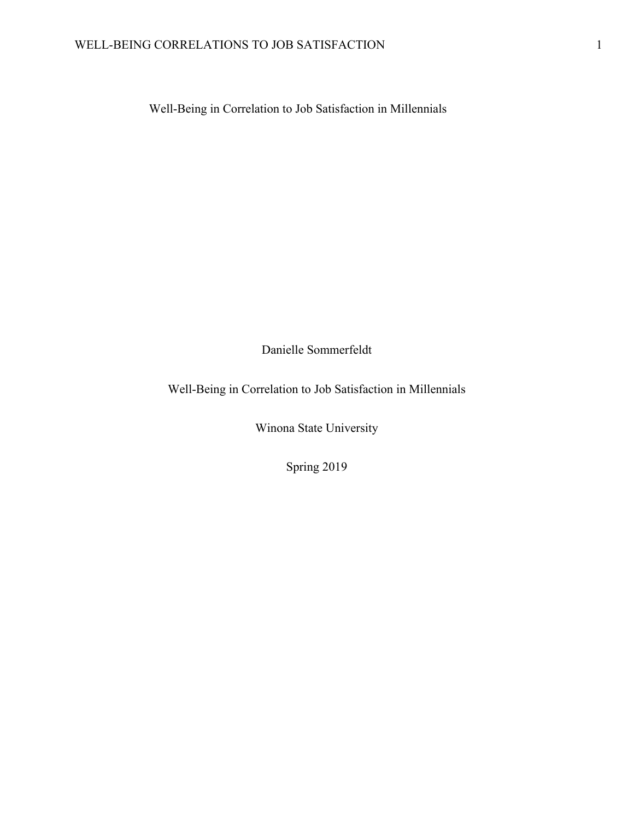Well-Being in Correlation to Job Satisfaction in Millennials

Danielle Sommerfeldt

Well-Being in Correlation to Job Satisfaction in Millennials

Winona State University

Spring 2019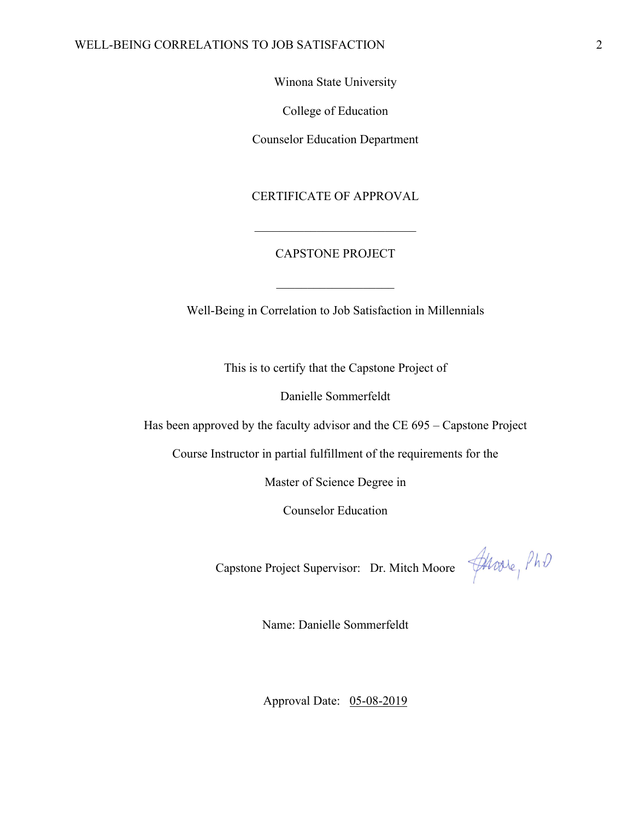#### WELL-BEING CORRELATIONS TO JOB SATISFACTION 2

Winona State University

College of Education

Counselor Education Department

CERTIFICATE OF APPROVAL

# CAPSTONE PROJECT

Well-Being in Correlation to Job Satisfaction in Millennials

This is to certify that the Capstone Project of

Danielle Sommerfeldt

Has been approved by the faculty advisor and the CE 695 – Capstone Project

Course Instructor in partial fulfillment of the requirements for the

Master of Science Degree in

Counselor Education

Capstone Project Supervisor: Dr. Mitch Moore  $\frac{4\mu_{\text{OOLe}}}{\mu}$   $\beta h\theta$ 

Name: Danielle Sommerfeldt

Approval Date: 05-08-2019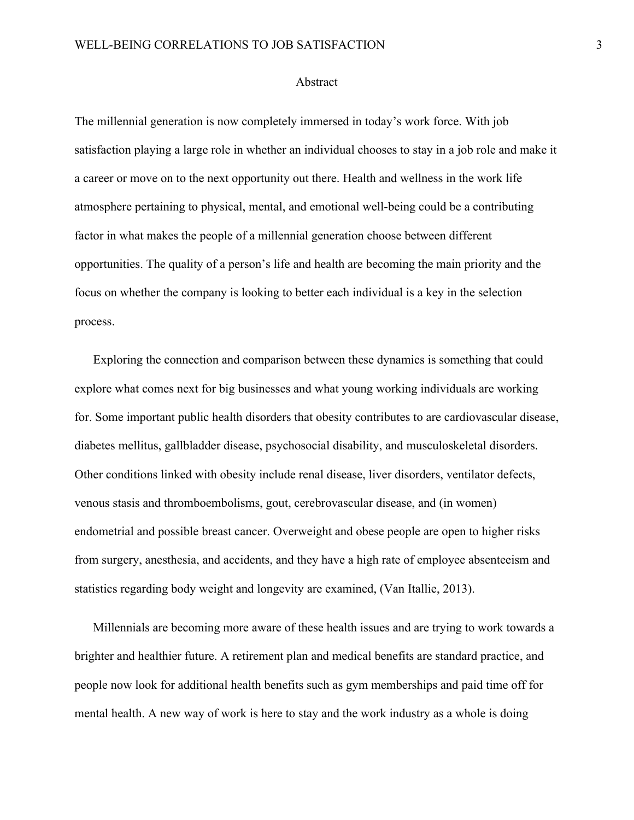#### Abstract

The millennial generation is now completely immersed in today's work force. With job satisfaction playing a large role in whether an individual chooses to stay in a job role and make it a career or move on to the next opportunity out there. Health and wellness in the work life atmosphere pertaining to physical, mental, and emotional well-being could be a contributing factor in what makes the people of a millennial generation choose between different opportunities. The quality of a person's life and health are becoming the main priority and the focus on whether the company is looking to better each individual is a key in the selection process.

Exploring the connection and comparison between these dynamics is something that could explore what comes next for big businesses and what young working individuals are working for. Some important public health disorders that obesity contributes to are cardiovascular disease, diabetes mellitus, gallbladder disease, psychosocial disability, and musculoskeletal disorders. Other conditions linked with obesity include renal disease, liver disorders, ventilator defects, venous stasis and thromboembolisms, gout, cerebrovascular disease, and (in women) endometrial and possible breast cancer. Overweight and obese people are open to higher risks from surgery, anesthesia, and accidents, and they have a high rate of employee absenteeism and statistics regarding body weight and longevity are examined, (Van Itallie, 2013).

Millennials are becoming more aware of these health issues and are trying to work towards a brighter and healthier future. A retirement plan and medical benefits are standard practice, and people now look for additional health benefits such as gym memberships and paid time off for mental health. A new way of work is here to stay and the work industry as a whole is doing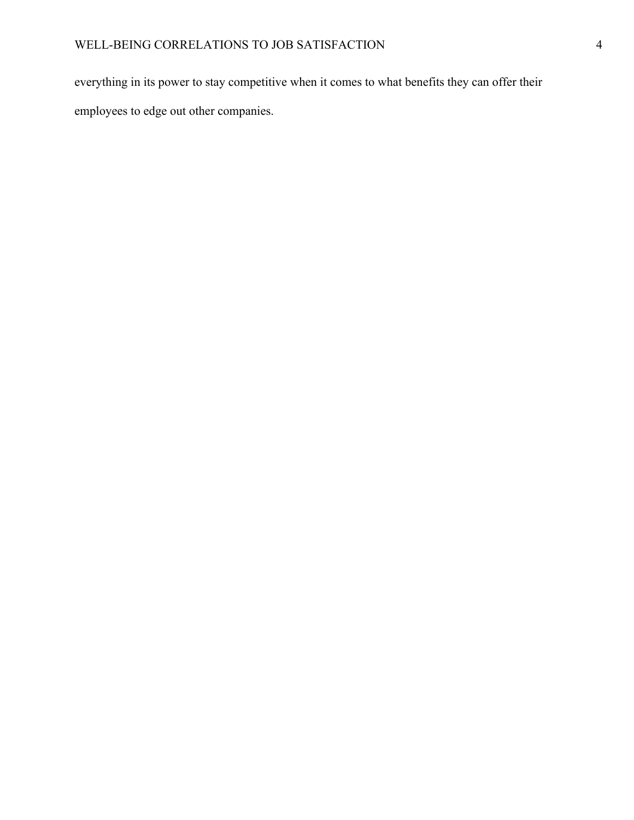everything in its power to stay competitive when it comes to what benefits they can offer their employees to edge out other companies.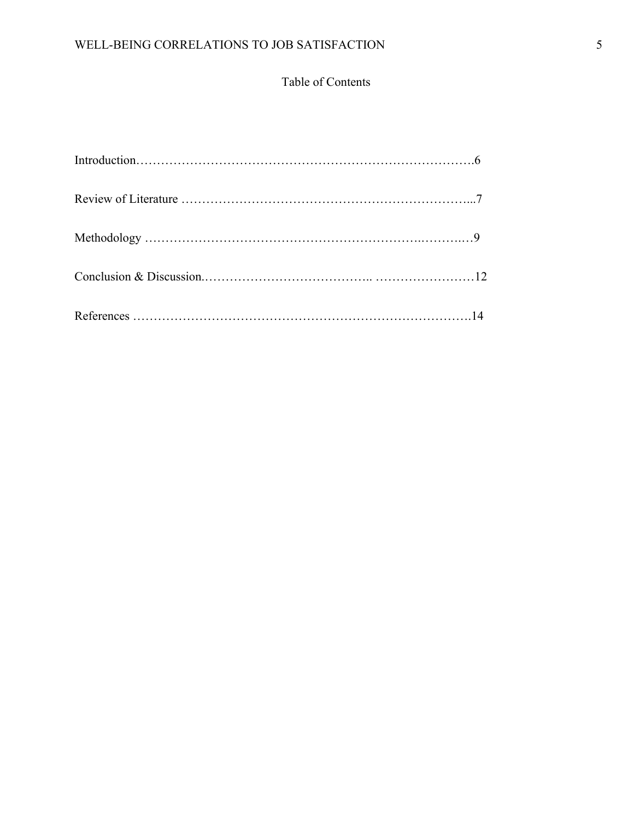# Table of Contents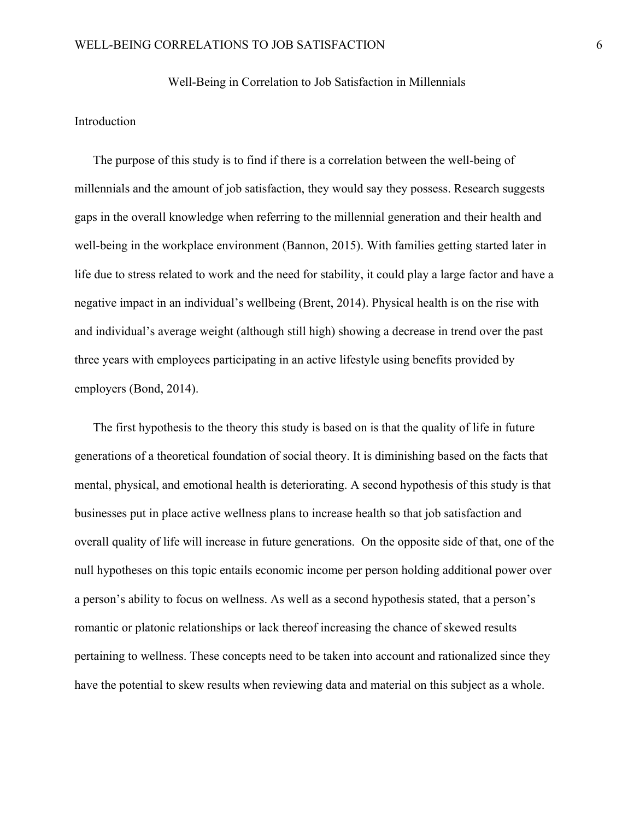#### Well-Being in Correlation to Job Satisfaction in Millennials

## Introduction

The purpose of this study is to find if there is a correlation between the well-being of millennials and the amount of job satisfaction, they would say they possess. Research suggests gaps in the overall knowledge when referring to the millennial generation and their health and well-being in the workplace environment (Bannon, 2015). With families getting started later in life due to stress related to work and the need for stability, it could play a large factor and have a negative impact in an individual's wellbeing (Brent, 2014). Physical health is on the rise with and individual's average weight (although still high) showing a decrease in trend over the past three years with employees participating in an active lifestyle using benefits provided by employers (Bond, 2014).

The first hypothesis to the theory this study is based on is that the quality of life in future generations of a theoretical foundation of social theory. It is diminishing based on the facts that mental, physical, and emotional health is deteriorating. A second hypothesis of this study is that businesses put in place active wellness plans to increase health so that job satisfaction and overall quality of life will increase in future generations. On the opposite side of that, one of the null hypotheses on this topic entails economic income per person holding additional power over a person's ability to focus on wellness. As well as a second hypothesis stated, that a person's romantic or platonic relationships or lack thereof increasing the chance of skewed results pertaining to wellness. These concepts need to be taken into account and rationalized since they have the potential to skew results when reviewing data and material on this subject as a whole.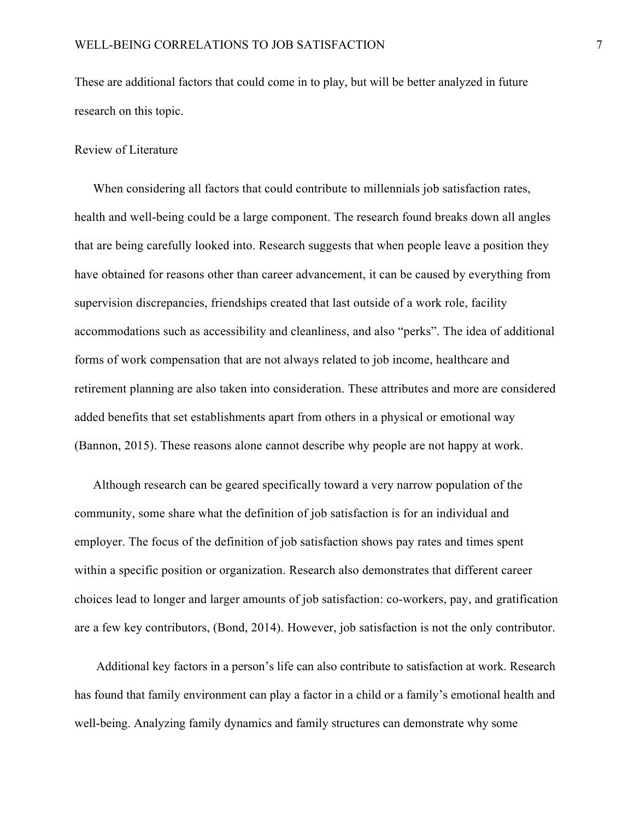These are additional factors that could come in to play, but will be better analyzed in future research on this topic.

## Review of Literature

When considering all factors that could contribute to millennials job satisfaction rates, health and well-being could be a large component. The research found breaks down all angles that are being carefully looked into. Research suggests that when people leave a position they have obtained for reasons other than career advancement, it can be caused by everything from supervision discrepancies, friendships created that last outside of a work role, facility accommodations such as accessibility and cleanliness, and also "perks". The idea of additional forms of work compensation that are not always related to job income, healthcare and retirement planning are also taken into consideration. These attributes and more are considered added benefits that set establishments apart from others in a physical or emotional way (Bannon, 2015). These reasons alone cannot describe why people are not happy at work.

Although research can be geared specifically toward a very narrow population of the community, some share what the definition of job satisfaction is for an individual and employer. The focus of the definition of job satisfaction shows pay rates and times spent within a specific position or organization. Research also demonstrates that different career choices lead to longer and larger amounts of job satisfaction: co-workers, pay, and gratification are a few key contributors, (Bond, 2014). However, job satisfaction is not the only contributor.

Additional key factors in a person's life can also contribute to satisfaction at work. Research has found that family environment can play a factor in a child or a family's emotional health and well-being. Analyzing family dynamics and family structures can demonstrate why some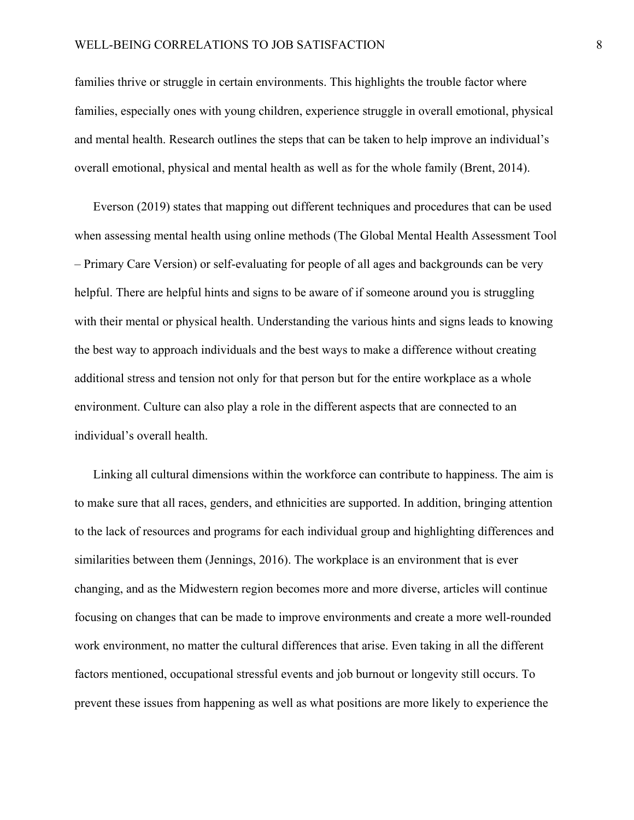families thrive or struggle in certain environments. This highlights the trouble factor where families, especially ones with young children, experience struggle in overall emotional, physical and mental health. Research outlines the steps that can be taken to help improve an individual's overall emotional, physical and mental health as well as for the whole family (Brent, 2014).

Everson (2019) states that mapping out different techniques and procedures that can be used when assessing mental health using online methods (The Global Mental Health Assessment Tool – Primary Care Version) or self-evaluating for people of all ages and backgrounds can be very helpful. There are helpful hints and signs to be aware of if someone around you is struggling with their mental or physical health. Understanding the various hints and signs leads to knowing the best way to approach individuals and the best ways to make a difference without creating additional stress and tension not only for that person but for the entire workplace as a whole environment. Culture can also play a role in the different aspects that are connected to an individual's overall health.

Linking all cultural dimensions within the workforce can contribute to happiness. The aim is to make sure that all races, genders, and ethnicities are supported. In addition, bringing attention to the lack of resources and programs for each individual group and highlighting differences and similarities between them (Jennings, 2016). The workplace is an environment that is ever changing, and as the Midwestern region becomes more and more diverse, articles will continue focusing on changes that can be made to improve environments and create a more well-rounded work environment, no matter the cultural differences that arise. Even taking in all the different factors mentioned, occupational stressful events and job burnout or longevity still occurs. To prevent these issues from happening as well as what positions are more likely to experience the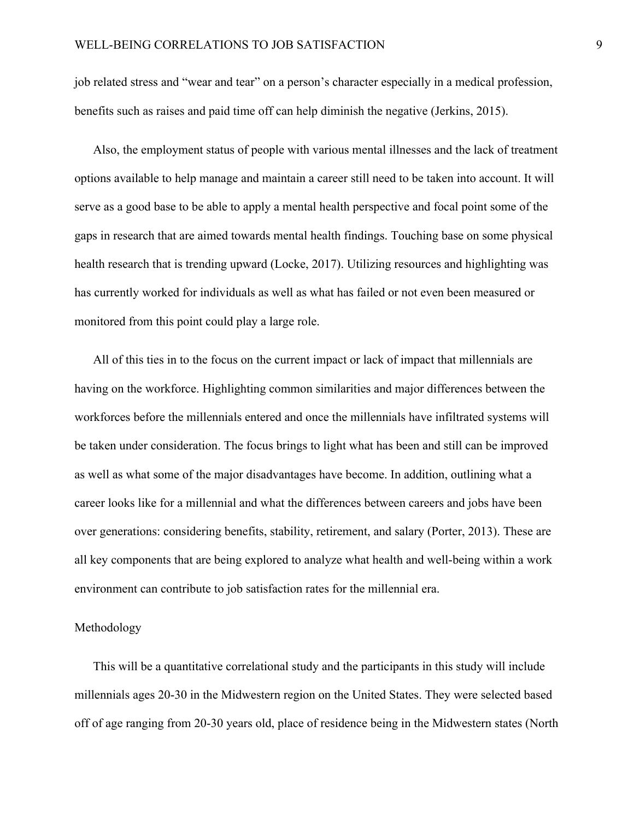job related stress and "wear and tear" on a person's character especially in a medical profession, benefits such as raises and paid time off can help diminish the negative (Jerkins, 2015).

Also, the employment status of people with various mental illnesses and the lack of treatment options available to help manage and maintain a career still need to be taken into account. It will serve as a good base to be able to apply a mental health perspective and focal point some of the gaps in research that are aimed towards mental health findings. Touching base on some physical health research that is trending upward (Locke, 2017). Utilizing resources and highlighting was has currently worked for individuals as well as what has failed or not even been measured or monitored from this point could play a large role.

All of this ties in to the focus on the current impact or lack of impact that millennials are having on the workforce. Highlighting common similarities and major differences between the workforces before the millennials entered and once the millennials have infiltrated systems will be taken under consideration. The focus brings to light what has been and still can be improved as well as what some of the major disadvantages have become. In addition, outlining what a career looks like for a millennial and what the differences between careers and jobs have been over generations: considering benefits, stability, retirement, and salary (Porter, 2013). These are all key components that are being explored to analyze what health and well-being within a work environment can contribute to job satisfaction rates for the millennial era.

#### Methodology

This will be a quantitative correlational study and the participants in this study will include millennials ages 20-30 in the Midwestern region on the United States. They were selected based off of age ranging from 20-30 years old, place of residence being in the Midwestern states (North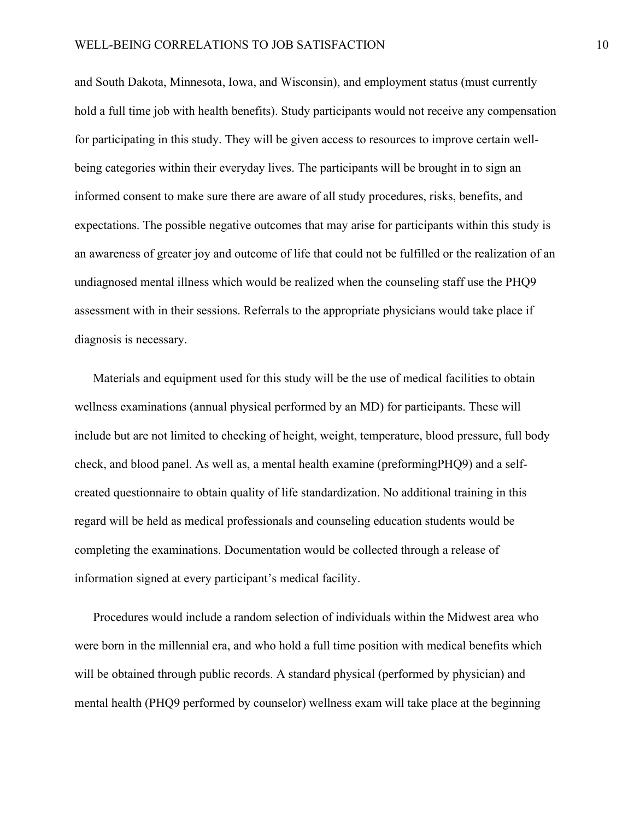and South Dakota, Minnesota, Iowa, and Wisconsin), and employment status (must currently hold a full time job with health benefits). Study participants would not receive any compensation for participating in this study. They will be given access to resources to improve certain wellbeing categories within their everyday lives. The participants will be brought in to sign an informed consent to make sure there are aware of all study procedures, risks, benefits, and expectations. The possible negative outcomes that may arise for participants within this study is an awareness of greater joy and outcome of life that could not be fulfilled or the realization of an undiagnosed mental illness which would be realized when the counseling staff use the PHQ9 assessment with in their sessions. Referrals to the appropriate physicians would take place if diagnosis is necessary.

Materials and equipment used for this study will be the use of medical facilities to obtain wellness examinations (annual physical performed by an MD) for participants. These will include but are not limited to checking of height, weight, temperature, blood pressure, full body check, and blood panel. As well as, a mental health examine (preformingPHQ9) and a selfcreated questionnaire to obtain quality of life standardization. No additional training in this regard will be held as medical professionals and counseling education students would be completing the examinations. Documentation would be collected through a release of information signed at every participant's medical facility.

Procedures would include a random selection of individuals within the Midwest area who were born in the millennial era, and who hold a full time position with medical benefits which will be obtained through public records. A standard physical (performed by physician) and mental health (PHQ9 performed by counselor) wellness exam will take place at the beginning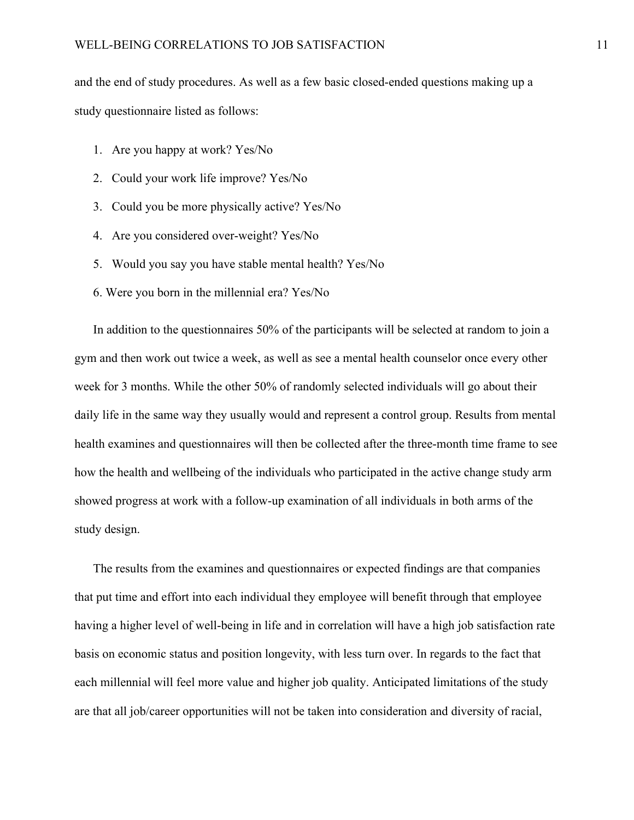and the end of study procedures. As well as a few basic closed-ended questions making up a study questionnaire listed as follows:

- 1. Are you happy at work? Yes/No
- 2. Could your work life improve? Yes/No
- 3. Could you be more physically active? Yes/No
- 4. Are you considered over-weight? Yes/No
- 5. Would you say you have stable mental health? Yes/No
- 6. Were you born in the millennial era? Yes/No

In addition to the questionnaires 50% of the participants will be selected at random to join a gym and then work out twice a week, as well as see a mental health counselor once every other week for 3 months. While the other 50% of randomly selected individuals will go about their daily life in the same way they usually would and represent a control group. Results from mental health examines and questionnaires will then be collected after the three-month time frame to see how the health and wellbeing of the individuals who participated in the active change study arm showed progress at work with a follow-up examination of all individuals in both arms of the study design.

The results from the examines and questionnaires or expected findings are that companies that put time and effort into each individual they employee will benefit through that employee having a higher level of well-being in life and in correlation will have a high job satisfaction rate basis on economic status and position longevity, with less turn over. In regards to the fact that each millennial will feel more value and higher job quality. Anticipated limitations of the study are that all job/career opportunities will not be taken into consideration and diversity of racial,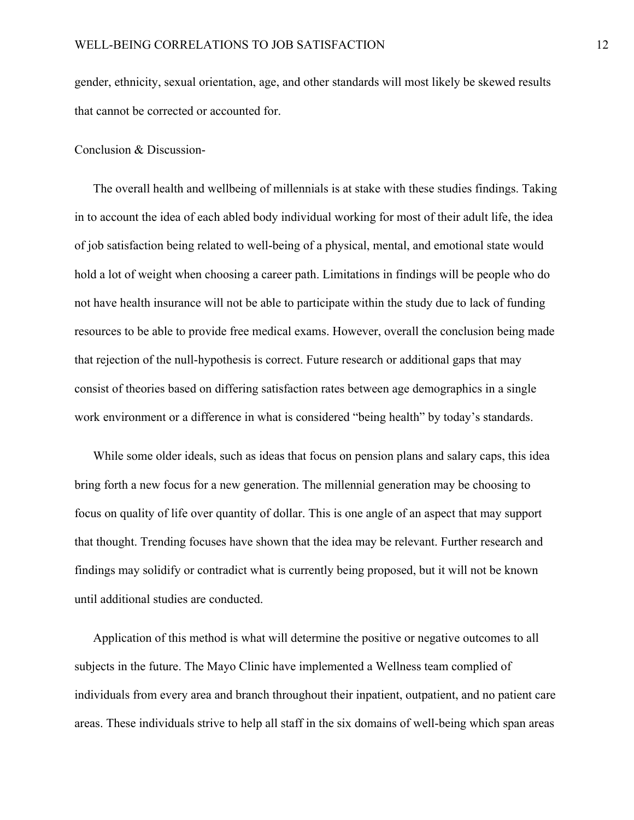gender, ethnicity, sexual orientation, age, and other standards will most likely be skewed results that cannot be corrected or accounted for.

#### Conclusion & Discussion-

The overall health and wellbeing of millennials is at stake with these studies findings. Taking in to account the idea of each abled body individual working for most of their adult life, the idea of job satisfaction being related to well-being of a physical, mental, and emotional state would hold a lot of weight when choosing a career path. Limitations in findings will be people who do not have health insurance will not be able to participate within the study due to lack of funding resources to be able to provide free medical exams. However, overall the conclusion being made that rejection of the null-hypothesis is correct. Future research or additional gaps that may consist of theories based on differing satisfaction rates between age demographics in a single work environment or a difference in what is considered "being health" by today's standards.

While some older ideals, such as ideas that focus on pension plans and salary caps, this idea bring forth a new focus for a new generation. The millennial generation may be choosing to focus on quality of life over quantity of dollar. This is one angle of an aspect that may support that thought. Trending focuses have shown that the idea may be relevant. Further research and findings may solidify or contradict what is currently being proposed, but it will not be known until additional studies are conducted.

Application of this method is what will determine the positive or negative outcomes to all subjects in the future. The Mayo Clinic have implemented a Wellness team complied of individuals from every area and branch throughout their inpatient, outpatient, and no patient care areas. These individuals strive to help all staff in the six domains of well-being which span areas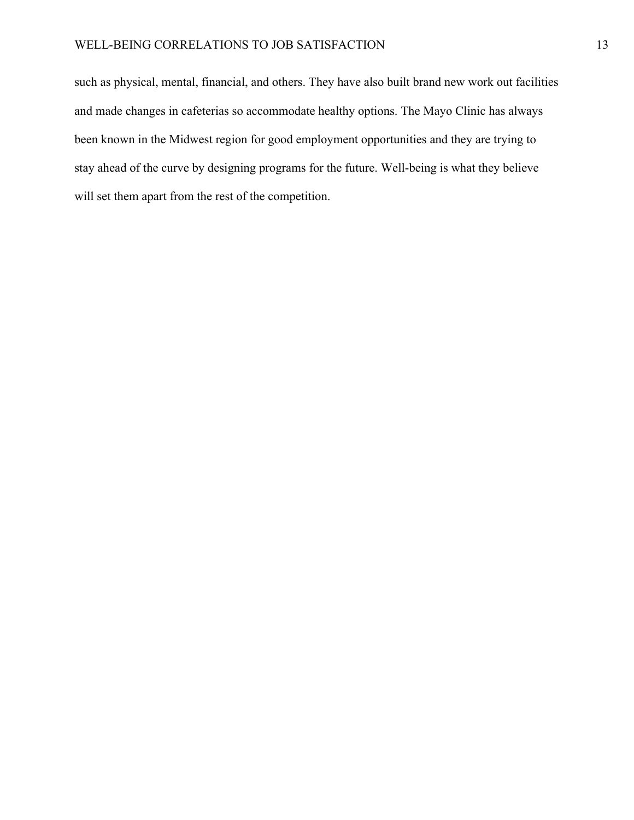such as physical, mental, financial, and others. They have also built brand new work out facilities and made changes in cafeterias so accommodate healthy options. The Mayo Clinic has always been known in the Midwest region for good employment opportunities and they are trying to stay ahead of the curve by designing programs for the future. Well-being is what they believe will set them apart from the rest of the competition.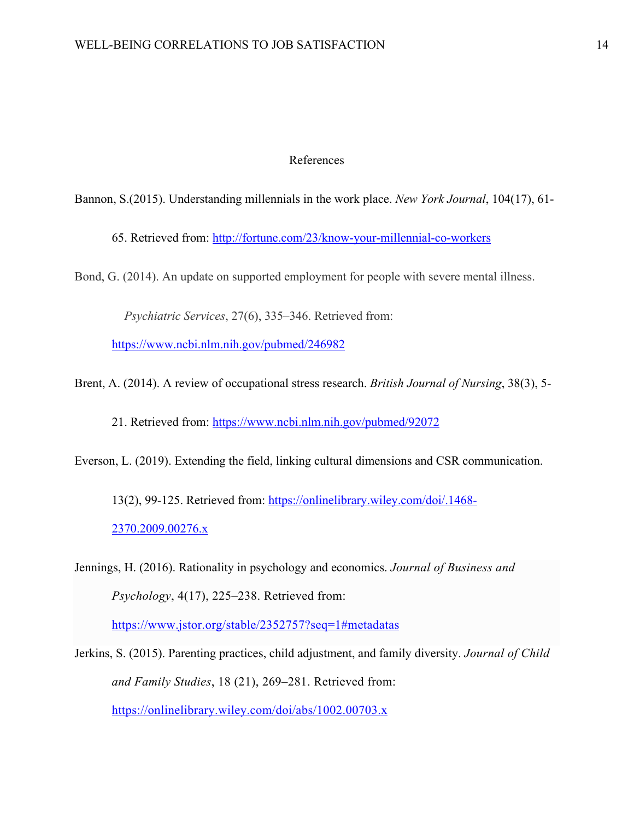# References

Bannon, S.(2015). Understanding millennials in the work place. *New York Journal*, 104(17), 61-

65. Retrieved from: http://fortune.com/23/know-your-millennial-co-workers

Bond, G. (2014). An update on supported employment for people with severe mental illness.

*Psychiatric Services*, 27(6), 335–346. Retrieved from:

https://www.ncbi.nlm.nih.gov/pubmed/246982

Brent, A. (2014). A review of occupational stress research. *British Journal of Nursing*, 38(3), 5-

21. Retrieved from: https://www.ncbi.nlm.nih.gov/pubmed/92072

Everson, L. (2019). Extending the field, linking cultural dimensions and CSR communication.

13(2), 99-125. Retrieved from: https://onlinelibrary.wiley.com/doi/.1468- 2370.2009.00276.x

Jennings, H. (2016). Rationality in psychology and economics. *Journal of Business and Psychology*, 4(17), 225–238. Retrieved from: https://www.jstor.org/stable/2352757?seq=1#metadatas

Jerkins, S. (2015). Parenting practices, child adjustment, and family diversity. *Journal of Child and Family Studies*, 18 (21), 269–281. Retrieved from: https://onlinelibrary.wiley.com/doi/abs/1002.00703.x